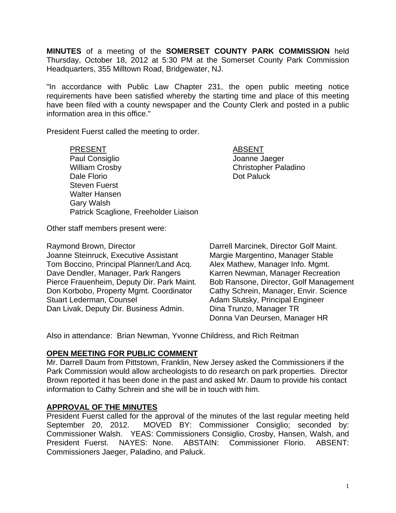**MINUTES** of a meeting of the **SOMERSET COUNTY PARK COMMISSION** held Thursday, October 18, 2012 at 5:30 PM at the Somerset County Park Commission Headquarters, 355 Milltown Road, Bridgewater, NJ.

"In accordance with Public Law Chapter 231, the open public meeting notice requirements have been satisfied whereby the starting time and place of this meeting have been filed with a county newspaper and the County Clerk and posted in a public information area in this office."

President Fuerst called the meeting to order.

PRESENT ABSENT Paul Consiglio and Consiglio According to the United States of Joanne Jaeger William Crosby **Christopher Paladino** Dale Florio **Dale Florio Community** Dot Paluck Steven Fuerst Walter Hansen Gary Walsh Patrick Scaglione, Freeholder Liaison

Other staff members present were:

Raymond Brown, Director **Darrell Marcinek, Director Golf Maint.** Joanne Steinruck, Executive Assistant Margie Margentino, Manager Stable Tom Boccino, Principal Planner/Land Acq. Alex Mathew, Manager Info. Mgmt. Dave Dendler, Manager, Park Rangers Karren Newman, Manager Recreation Pierce Frauenheim, Deputy Dir. Park Maint. Bob Ransone, Director, Golf Management Don Korbobo, Property Mgmt. Coordinator Cathy Schrein, Manager, Envir. Science Stuart Lederman, Counsel **Adam Slutsky**, Principal Engineer Dan Livak, Deputy Dir. Business Admin. Dina Trunzo, Manager TR

Donna Van Deursen, Manager HR

Also in attendance: Brian Newman, Yvonne Childress, and Rich Reitman

### **OPEN MEETING FOR PUBLIC COMMENT**

Mr. Darrell Daum from Pittstown, Franklin, New Jersey asked the Commissioners if the Park Commission would allow archeologists to do research on park properties. Director Brown reported it has been done in the past and asked Mr. Daum to provide his contact information to Cathy Schrein and she will be in touch with him.

### **APPROVAL OF THE MINUTES**

President Fuerst called for the approval of the minutes of the last regular meeting held September 20, 2012. MOVED BY: Commissioner Consiglio; seconded by: Commissioner Walsh. YEAS: Commissioners Consiglio, Crosby, Hansen, Walsh, and President Fuerst. NAYES: None. ABSTAIN: Commissioner Florio. ABSENT: Commissioners Jaeger, Paladino, and Paluck.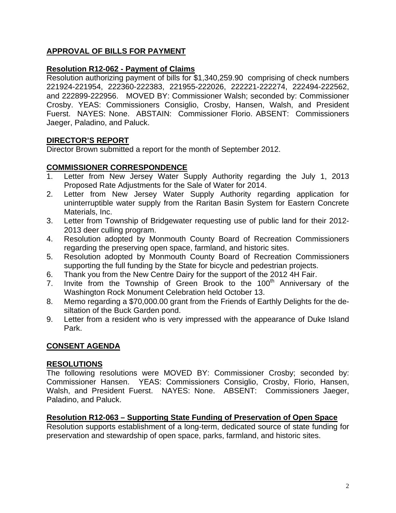# **APPROVAL OF BILLS FOR PAYMENT**

## **Resolution R12-062 - Payment of Claims**

Resolution authorizing payment of bills for \$1,340,259.90 comprising of check numbers 221924-221954, 222360-222383, 221955-222026, 222221-222274, 222494-222562, and 222899-222956. MOVED BY: Commissioner Walsh; seconded by: Commissioner Crosby. YEAS: Commissioners Consiglio, Crosby, Hansen, Walsh, and President Fuerst. NAYES: None. ABSTAIN: Commissioner Florio. ABSENT: Commissioners Jaeger, Paladino, and Paluck.

## **DIRECTOR'S REPORT**

Director Brown submitted a report for the month of September 2012.

### **COMMISSIONER CORRESPONDENCE**

- Letter from New Jersey Water Supply Authority regarding the July 1, 2013 Proposed Rate Adjustments for the Sale of Water for 2014.
- 2. Letter from New Jersey Water Supply Authority regarding application for uninterruptible water supply from the Raritan Basin System for Eastern Concrete Materials, Inc.
- 3. Letter from Township of Bridgewater requesting use of public land for their 2012- 2013 deer culling program.
- 4. Resolution adopted by Monmouth County Board of Recreation Commissioners regarding the preserving open space, farmland, and historic sites.
- 5. Resolution adopted by Monmouth County Board of Recreation Commissioners supporting the full funding by the State for bicycle and pedestrian projects.
- 6. Thank you from the New Centre Dairy for the support of the 2012 4H Fair.
- 7. Invite from the Township of Green Brook to the 100<sup>th</sup> Anniversary of the Washington Rock Monument Celebration held October 13.
- 8. Memo regarding a \$70,000.00 grant from the Friends of Earthly Delights for the desiltation of the Buck Garden pond.
- 9. Letter from a resident who is very impressed with the appearance of Duke Island Park.

### **CONSENT AGENDA**

### **RESOLUTIONS**

The following resolutions were MOVED BY: Commissioner Crosby; seconded by: Commissioner Hansen. YEAS: Commissioners Consiglio, Crosby, Florio, Hansen, Walsh, and President Fuerst. NAYES: None. ABSENT: Commissioners Jaeger, Paladino, and Paluck.

### **Resolution R12-063 – Supporting State Funding of Preservation of Open Space**

Resolution supports establishment of a long-term, dedicated source of state funding for preservation and stewardship of open space, parks, farmland, and historic sites.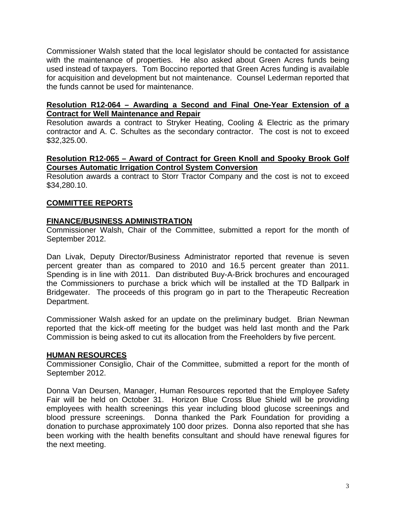Commissioner Walsh stated that the local legislator should be contacted for assistance with the maintenance of properties. He also asked about Green Acres funds being used instead of taxpayers. Tom Boccino reported that Green Acres funding is available for acquisition and development but not maintenance. Counsel Lederman reported that the funds cannot be used for maintenance.

### **Resolution R12-064 – Awarding a Second and Final One-Year Extension of a Contract for Well Maintenance and Repair**

Resolution awards a contract to Stryker Heating, Cooling & Electric as the primary contractor and A. C. Schultes as the secondary contractor. The cost is not to exceed \$32,325.00.

### **Resolution R12-065 – Award of Contract for Green Knoll and Spooky Brook Golf Courses Automatic Irrigation Control System Conversion**

Resolution awards a contract to Storr Tractor Company and the cost is not to exceed \$34,280.10.

### **COMMITTEE REPORTS**

### **FINANCE/BUSINESS ADMINISTRATION**

Commissioner Walsh, Chair of the Committee, submitted a report for the month of September 2012.

Dan Livak, Deputy Director/Business Administrator reported that revenue is seven percent greater than as compared to 2010 and 16.5 percent greater than 2011. Spending is in line with 2011. Dan distributed Buy-A-Brick brochures and encouraged the Commissioners to purchase a brick which will be installed at the TD Ballpark in Bridgewater. The proceeds of this program go in part to the Therapeutic Recreation Department.

Commissioner Walsh asked for an update on the preliminary budget. Brian Newman reported that the kick-off meeting for the budget was held last month and the Park Commission is being asked to cut its allocation from the Freeholders by five percent.

### **HUMAN RESOURCES**

Commissioner Consiglio, Chair of the Committee, submitted a report for the month of September 2012.

Donna Van Deursen, Manager, Human Resources reported that the Employee Safety Fair will be held on October 31. Horizon Blue Cross Blue Shield will be providing employees with health screenings this year including blood glucose screenings and blood pressure screenings. Donna thanked the Park Foundation for providing a donation to purchase approximately 100 door prizes. Donna also reported that she has been working with the health benefits consultant and should have renewal figures for the next meeting.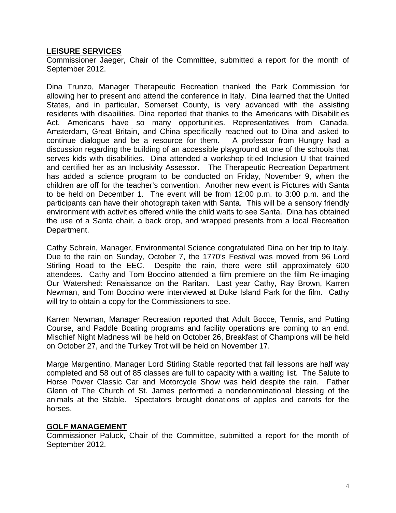#### **LEISURE SERVICES**

Commissioner Jaeger, Chair of the Committee, submitted a report for the month of September 2012.

Dina Trunzo, Manager Therapeutic Recreation thanked the Park Commission for allowing her to present and attend the conference in Italy. Dina learned that the United States, and in particular, Somerset County, is very advanced with the assisting residents with disabilities. Dina reported that thanks to the Americans with Disabilities Act, Americans have so many opportunities. Representatives from Canada, Amsterdam, Great Britain, and China specifically reached out to Dina and asked to continue dialogue and be a resource for them. A professor from Hungry had a discussion regarding the building of an accessible playground at one of the schools that serves kids with disabilities. Dina attended a workshop titled Inclusion U that trained and certified her as an Inclusivity Assessor. The Therapeutic Recreation Department has added a science program to be conducted on Friday, November 9, when the children are off for the teacher's convention. Another new event is Pictures with Santa to be held on December 1. The event will be from 12:00 p.m. to 3:00 p.m. and the participants can have their photograph taken with Santa. This will be a sensory friendly environment with activities offered while the child waits to see Santa. Dina has obtained the use of a Santa chair, a back drop, and wrapped presents from a local Recreation Department.

Cathy Schrein, Manager, Environmental Science congratulated Dina on her trip to Italy. Due to the rain on Sunday, October 7, the 1770's Festival was moved from 96 Lord Stirling Road to the EEC. Despite the rain, there were still approximately 600 attendees. Cathy and Tom Boccino attended a film premiere on the film Re-imaging Our Watershed: Renaissance on the Raritan. Last year Cathy, Ray Brown, Karren Newman, and Tom Boccino were interviewed at Duke Island Park for the film. Cathy will try to obtain a copy for the Commissioners to see.

Karren Newman, Manager Recreation reported that Adult Bocce, Tennis, and Putting Course, and Paddle Boating programs and facility operations are coming to an end. Mischief Night Madness will be held on October 26, Breakfast of Champions will be held on October 27, and the Turkey Trot will be held on November 17.

Marge Margentino, Manager Lord Stirling Stable reported that fall lessons are half way completed and 58 out of 85 classes are full to capacity with a waiting list. The Salute to Horse Power Classic Car and Motorcycle Show was held despite the rain. Father Glenn of The Church of St. James performed a nondenominational blessing of the animals at the Stable. Spectators brought donations of apples and carrots for the horses.

#### **GOLF MANAGEMENT**

Commissioner Paluck, Chair of the Committee, submitted a report for the month of September 2012.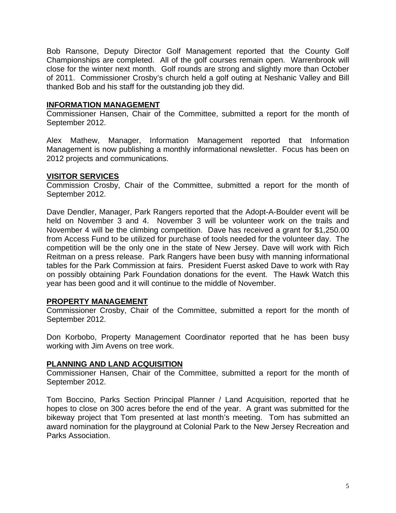Bob Ransone, Deputy Director Golf Management reported that the County Golf Championships are completed. All of the golf courses remain open. Warrenbrook will close for the winter next month. Golf rounds are strong and slightly more than October of 2011. Commissioner Crosby's church held a golf outing at Neshanic Valley and Bill thanked Bob and his staff for the outstanding job they did.

## **INFORMATION MANAGEMENT**

Commissioner Hansen, Chair of the Committee, submitted a report for the month of September 2012.

Alex Mathew, Manager, Information Management reported that Information Management is now publishing a monthly informational newsletter. Focus has been on 2012 projects and communications.

### **VISITOR SERVICES**

Commission Crosby, Chair of the Committee, submitted a report for the month of September 2012.

Dave Dendler, Manager, Park Rangers reported that the Adopt-A-Boulder event will be held on November 3 and 4. November 3 will be volunteer work on the trails and November 4 will be the climbing competition. Dave has received a grant for \$1,250.00 from Access Fund to be utilized for purchase of tools needed for the volunteer day. The competition will be the only one in the state of New Jersey. Dave will work with Rich Reitman on a press release. Park Rangers have been busy with manning informational tables for the Park Commission at fairs. President Fuerst asked Dave to work with Ray on possibly obtaining Park Foundation donations for the event. The Hawk Watch this year has been good and it will continue to the middle of November.

### **PROPERTY MANAGEMENT**

Commissioner Crosby, Chair of the Committee, submitted a report for the month of September 2012.

Don Korbobo, Property Management Coordinator reported that he has been busy working with Jim Avens on tree work.

### **PLANNING AND LAND ACQUISITION**

Commissioner Hansen, Chair of the Committee, submitted a report for the month of September 2012.

Tom Boccino, Parks Section Principal Planner / Land Acquisition, reported that he hopes to close on 300 acres before the end of the year. A grant was submitted for the bikeway project that Tom presented at last month's meeting. Tom has submitted an award nomination for the playground at Colonial Park to the New Jersey Recreation and Parks Association.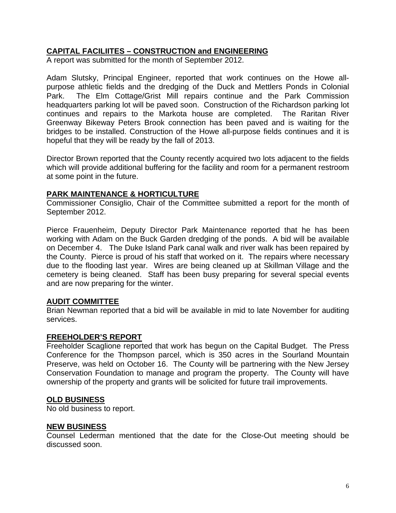## **CAPITAL FACILIITES – CONSTRUCTION and ENGINEERING**

A report was submitted for the month of September 2012.

Adam Slutsky, Principal Engineer, reported that work continues on the Howe allpurpose athletic fields and the dredging of the Duck and Mettlers Ponds in Colonial Park. The Elm Cottage/Grist Mill repairs continue and the Park Commission headquarters parking lot will be paved soon. Construction of the Richardson parking lot continues and repairs to the Markota house are completed. The Raritan River Greenway Bikeway Peters Brook connection has been paved and is waiting for the bridges to be installed. Construction of the Howe all-purpose fields continues and it is hopeful that they will be ready by the fall of 2013.

Director Brown reported that the County recently acquired two lots adjacent to the fields which will provide additional buffering for the facility and room for a permanent restroom at some point in the future.

### **PARK MAINTENANCE & HORTICULTURE**

Commissioner Consiglio, Chair of the Committee submitted a report for the month of September 2012.

Pierce Frauenheim, Deputy Director Park Maintenance reported that he has been working with Adam on the Buck Garden dredging of the ponds. A bid will be available on December 4. The Duke Island Park canal walk and river walk has been repaired by the County. Pierce is proud of his staff that worked on it. The repairs where necessary due to the flooding last year. Wires are being cleaned up at Skillman Village and the cemetery is being cleaned. Staff has been busy preparing for several special events and are now preparing for the winter.

### **AUDIT COMMITTEE**

Brian Newman reported that a bid will be available in mid to late November for auditing services.

#### **FREEHOLDER'S REPORT**

Freeholder Scaglione reported that work has begun on the Capital Budget. The Press Conference for the Thompson parcel, which is 350 acres in the Sourland Mountain Preserve, was held on October 16. The County will be partnering with the New Jersey Conservation Foundation to manage and program the property. The County will have ownership of the property and grants will be solicited for future trail improvements.

#### **OLD BUSINESS**

No old business to report.

#### **NEW BUSINESS**

Counsel Lederman mentioned that the date for the Close-Out meeting should be discussed soon.